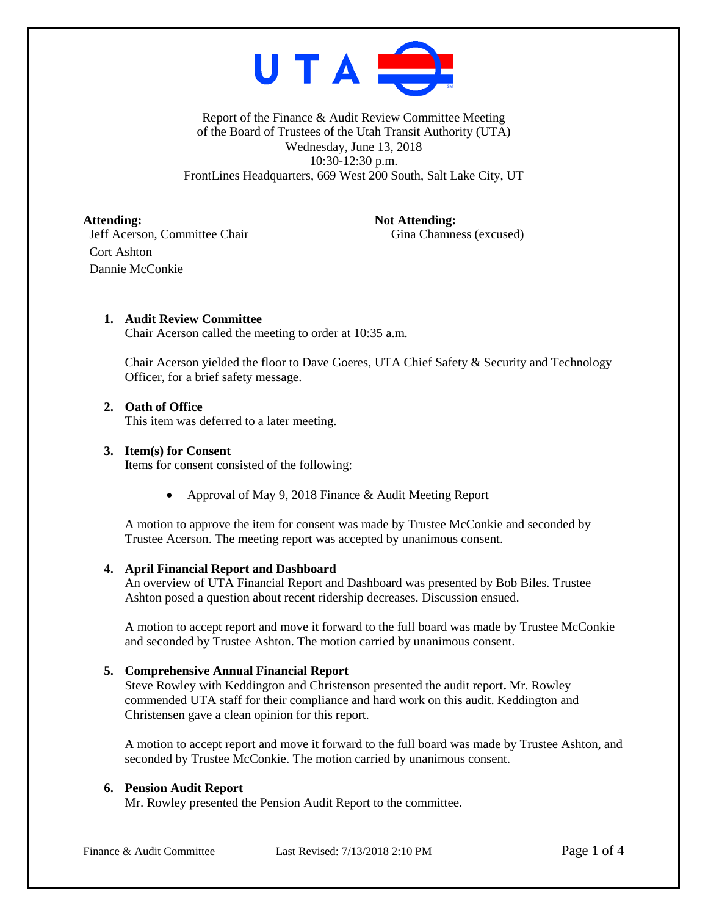

Report of the Finance & Audit Review Committee Meeting of the Board of Trustees of the Utah Transit Authority (UTA) Wednesday, June 13, 2018 10:30-12:30 p.m. FrontLines Headquarters, 669 West 200 South, Salt Lake City, UT

Attending: Not Attending: Jeff Acerson, Committee Chair Gina Chamness (excused) Cort Ashton Dannie McConkie

# **1. Audit Review Committee**

Chair Acerson called the meeting to order at 10:35 a.m.

Chair Acerson yielded the floor to Dave Goeres, UTA Chief Safety & Security and Technology Officer, for a brief safety message.

# **2. Oath of Office**

This item was deferred to a later meeting.

### **3. Item(s) for Consent**

Items for consent consisted of the following:

• Approval of May 9, 2018 Finance & Audit Meeting Report

A motion to approve the item for consent was made by Trustee McConkie and seconded by Trustee Acerson. The meeting report was accepted by unanimous consent.

#### **4. April Financial Report and Dashboard**

An overview of UTA Financial Report and Dashboard was presented by Bob Biles. Trustee Ashton posed a question about recent ridership decreases. Discussion ensued.

A motion to accept report and move it forward to the full board was made by Trustee McConkie and seconded by Trustee Ashton. The motion carried by unanimous consent.

## **5. Comprehensive Annual Financial Report**

Steve Rowley with Keddington and Christenson presented the audit report**.** Mr. Rowley commended UTA staff for their compliance and hard work on this audit. Keddington and Christensen gave a clean opinion for this report.

A motion to accept report and move it forward to the full board was made by Trustee Ashton, and seconded by Trustee McConkie. The motion carried by unanimous consent.

## **6. Pension Audit Report**

Mr. Rowley presented the Pension Audit Report to the committee.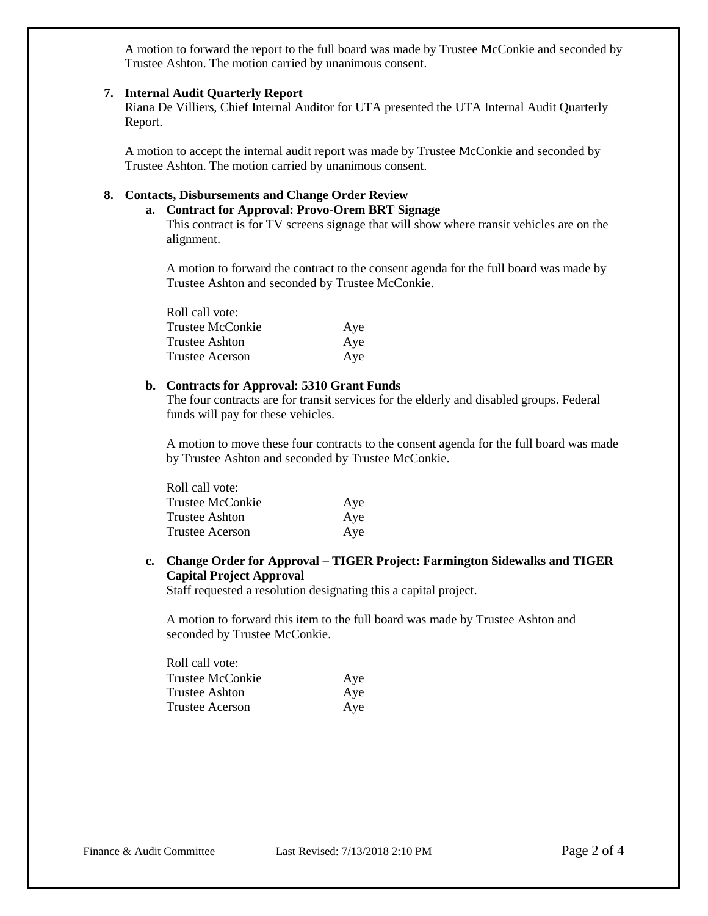A motion to forward the report to the full board was made by Trustee McConkie and seconded by Trustee Ashton. The motion carried by unanimous consent.

#### **7. Internal Audit Quarterly Report**

Riana De Villiers, Chief Internal Auditor for UTA presented the UTA Internal Audit Quarterly Report.

A motion to accept the internal audit report was made by Trustee McConkie and seconded by Trustee Ashton. The motion carried by unanimous consent.

## **8. Contacts, Disbursements and Change Order Review**

## **a. Contract for Approval: Provo-Orem BRT Signage**

This contract is for TV screens signage that will show where transit vehicles are on the alignment.

A motion to forward the contract to the consent agenda for the full board was made by Trustee Ashton and seconded by Trustee McConkie.

| Roll call vote:  |     |
|------------------|-----|
| Trustee McConkie | Aye |
| Trustee Ashton   | Aye |
| Trustee Acerson  | Aye |

### **b. Contracts for Approval: 5310 Grant Funds**

The four contracts are for transit services for the elderly and disabled groups. Federal funds will pay for these vehicles.

A motion to move these four contracts to the consent agenda for the full board was made by Trustee Ashton and seconded by Trustee McConkie.

| Roll call vote:  |     |
|------------------|-----|
| Trustee McConkie | Aye |
| Trustee Ashton   | Aye |
| Trustee Acerson  | Aye |

# **c. Change Order for Approval – TIGER Project: Farmington Sidewalks and TIGER Capital Project Approval**

Staff requested a resolution designating this a capital project.

A motion to forward this item to the full board was made by Trustee Ashton and seconded by Trustee McConkie.

| Roll call vote:  |     |
|------------------|-----|
| Trustee McConkie | Aye |
| Trustee Ashton   | Aye |
| Trustee Acerson  | Aye |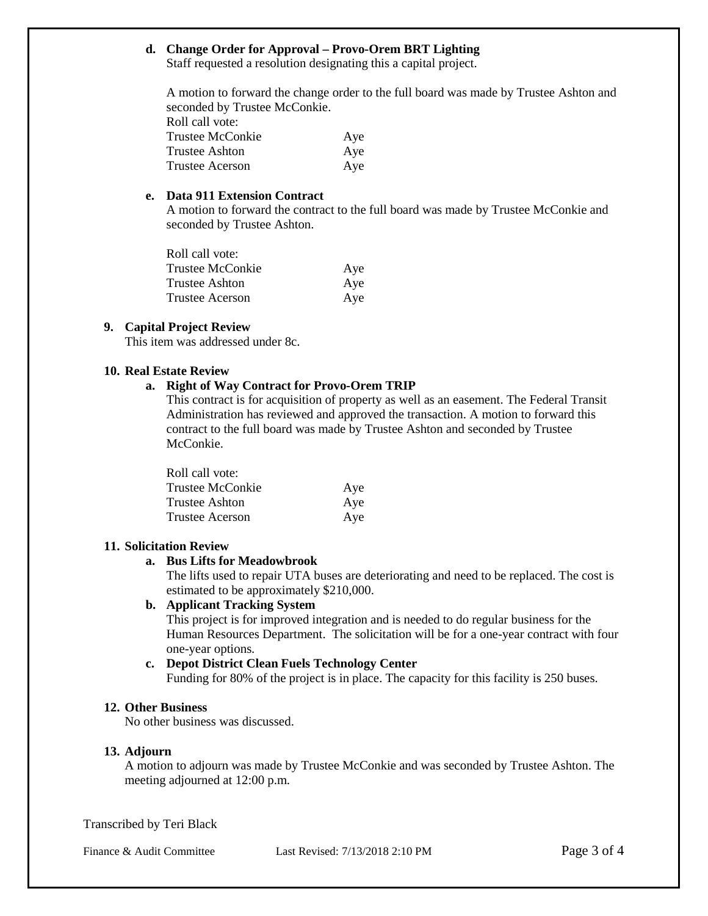## **d. Change Order for Approval – Provo-Orem BRT Lighting**

Staff requested a resolution designating this a capital project.

A motion to forward the change order to the full board was made by Trustee Ashton and seconded by Trustee McConkie. Roll call vote:

| Aye |
|-----|
| Aye |
| Aye |
|     |

## **e. Data 911 Extension Contract**

A motion to forward the contract to the full board was made by Trustee McConkie and seconded by Trustee Ashton.

| Roll call vote:  |     |
|------------------|-----|
| Trustee McConkie | Aye |
| Trustee Ashton   | Aye |
| Trustee Acerson  | Aye |

## **9. Capital Project Review**

This item was addressed under 8c.

## **10. Real Estate Review**

## **a. Right of Way Contract for Provo-Orem TRIP**

This contract is for acquisition of property as well as an easement. The Federal Transit Administration has reviewed and approved the transaction. A motion to forward this contract to the full board was made by Trustee Ashton and seconded by Trustee McConkie.

| Roll call vote:  |     |
|------------------|-----|
| Trustee McConkie | Aye |
| Trustee Ashton   | Aye |
| Trustee Acerson  | Aye |

## **11. Solicitation Review**

## **a. Bus Lifts for Meadowbrook**

The lifts used to repair UTA buses are deteriorating and need to be replaced. The cost is estimated to be approximately \$210,000.

## **b. Applicant Tracking System**

This project is for improved integration and is needed to do regular business for the Human Resources Department. The solicitation will be for a one-year contract with four one-year options.

#### **c. Depot District Clean Fuels Technology Center**

Funding for 80% of the project is in place. The capacity for this facility is 250 buses.

## **12. Other Business**

No other business was discussed.

## **13. Adjourn**

A motion to adjourn was made by Trustee McConkie and was seconded by Trustee Ashton. The meeting adjourned at 12:00 p.m.

Transcribed by Teri Black